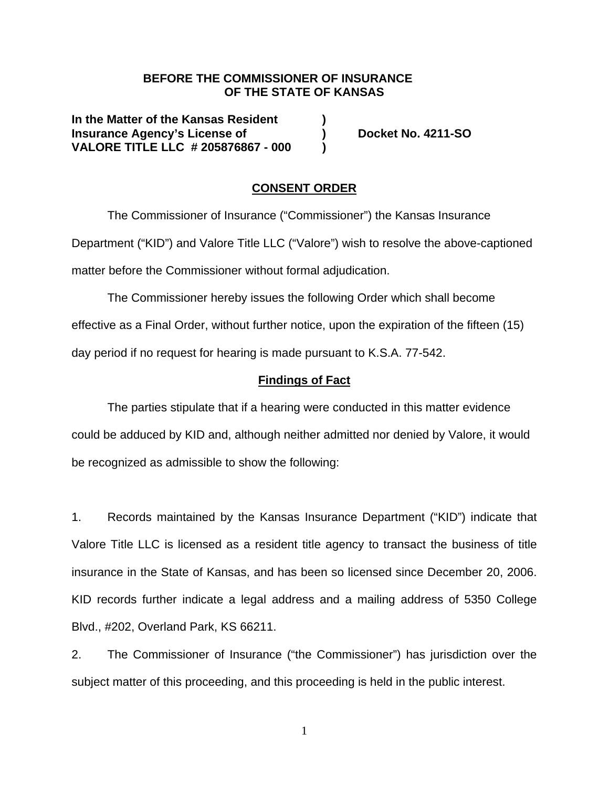### **BEFORE THE COMMISSIONER OF INSURANCE OF THE STATE OF KANSAS**

**In the Matter of the Kansas Resident ) Insurance Agency's License of ) Docket No. 4211-SO VALORE TITLE LLC # 205876867 - 000 )** 

### **CONSENT ORDER**

The Commissioner of Insurance ("Commissioner") the Kansas Insurance Department ("KID") and Valore Title LLC ("Valore") wish to resolve the above-captioned matter before the Commissioner without formal adjudication.

The Commissioner hereby issues the following Order which shall become effective as a Final Order, without further notice, upon the expiration of the fifteen (15) day period if no request for hearing is made pursuant to K.S.A. 77-542.

#### **Findings of Fact**

The parties stipulate that if a hearing were conducted in this matter evidence could be adduced by KID and, although neither admitted nor denied by Valore, it would be recognized as admissible to show the following:

1. Records maintained by the Kansas Insurance Department ("KID") indicate that Valore Title LLC is licensed as a resident title agency to transact the business of title insurance in the State of Kansas, and has been so licensed since December 20, 2006. KID records further indicate a legal address and a mailing address of 5350 College Blvd., #202, Overland Park, KS 66211.

2. The Commissioner of Insurance ("the Commissioner") has jurisdiction over the subject matter of this proceeding, and this proceeding is held in the public interest.

1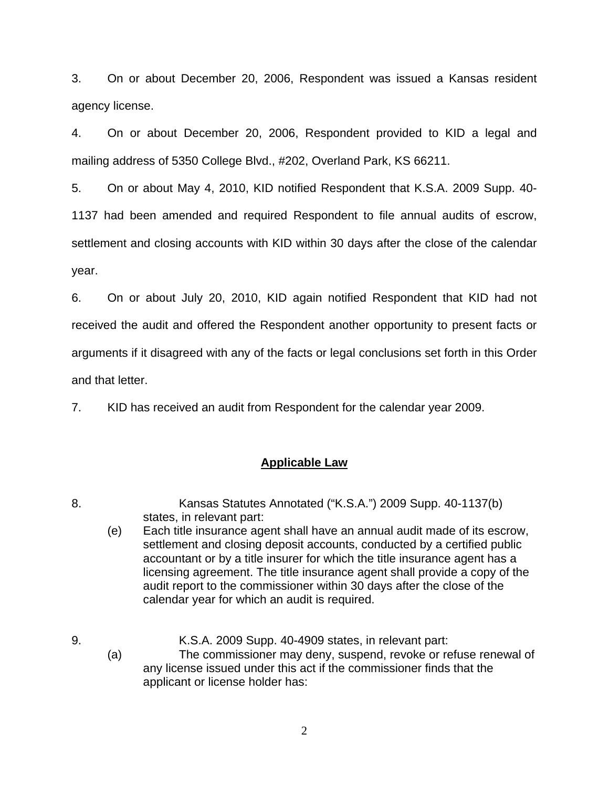3. On or about December 20, 2006, Respondent was issued a Kansas resident agency license.

4. On or about December 20, 2006, Respondent provided to KID a legal and mailing address of 5350 College Blvd., #202, Overland Park, KS 66211.

5. On or about May 4, 2010, KID notified Respondent that K.S.A. 2009 Supp. 40- 1137 had been amended and required Respondent to file annual audits of escrow, settlement and closing accounts with KID within 30 days after the close of the calendar year.

6. On or about July 20, 2010, KID again notified Respondent that KID had not received the audit and offered the Respondent another opportunity to present facts or arguments if it disagreed with any of the facts or legal conclusions set forth in this Order and that letter.

7. KID has received an audit from Respondent for the calendar year 2009.

## **Applicable Law**

- 8. Kansas Statutes Annotated ("K.S.A.") 2009 Supp. 40-1137(b) states, in relevant part:
	- (e) Each title insurance agent shall have an annual audit made of its escrow, settlement and closing deposit accounts, conducted by a certified public accountant or by a title insurer for which the title insurance agent has a licensing agreement. The title insurance agent shall provide a copy of the audit report to the commissioner within 30 days after the close of the calendar year for which an audit is required.

9. K.S.A. 2009 Supp. 40-4909 states, in relevant part: (a) The commissioner may deny, suspend, revoke or refuse renewal of any license issued under this act if the commissioner finds that the applicant or license holder has:

2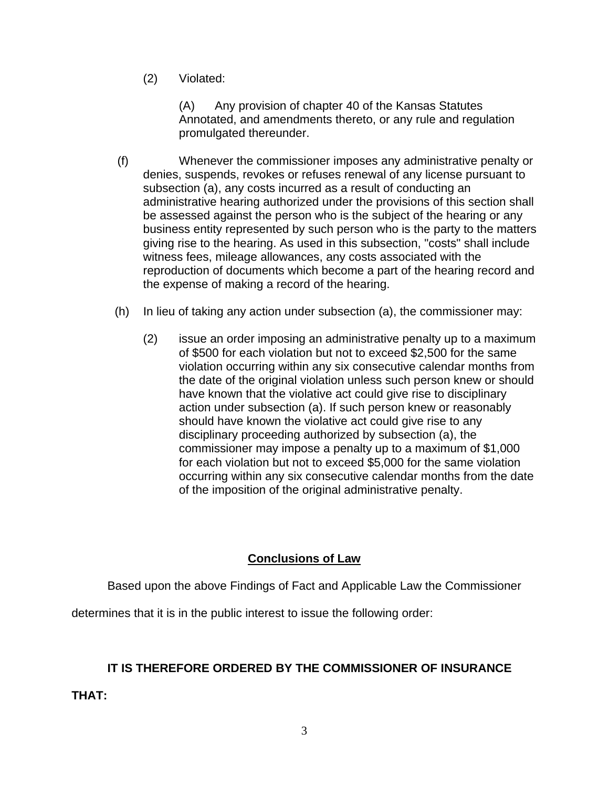(2) Violated:

 (A) Any provision of chapter 40 of the Kansas Statutes Annotated, and amendments thereto, or any rule and regulation promulgated thereunder.

- (f) Whenever the commissioner imposes any administrative penalty or denies, suspends, revokes or refuses renewal of any license pursuant to subsection (a), any costs incurred as a result of conducting an administrative hearing authorized under the provisions of this section shall be assessed against the person who is the subject of the hearing or any business entity represented by such person who is the party to the matters giving rise to the hearing. As used in this subsection, "costs" shall include witness fees, mileage allowances, any costs associated with the reproduction of documents which become a part of the hearing record and the expense of making a record of the hearing.
- (h) In lieu of taking any action under subsection (a), the commissioner may:
	- (2) issue an order imposing an administrative penalty up to a maximum of \$500 for each violation but not to exceed \$2,500 for the same violation occurring within any six consecutive calendar months from the date of the original violation unless such person knew or should have known that the violative act could give rise to disciplinary action under subsection (a). If such person knew or reasonably should have known the violative act could give rise to any disciplinary proceeding authorized by subsection (a), the commissioner may impose a penalty up to a maximum of \$1,000 for each violation but not to exceed \$5,000 for the same violation occurring within any six consecutive calendar months from the date of the imposition of the original administrative penalty.

### **Conclusions of Law**

Based upon the above Findings of Fact and Applicable Law the Commissioner

determines that it is in the public interest to issue the following order:

## **IT IS THEREFORE ORDERED BY THE COMMISSIONER OF INSURANCE**

**THAT:**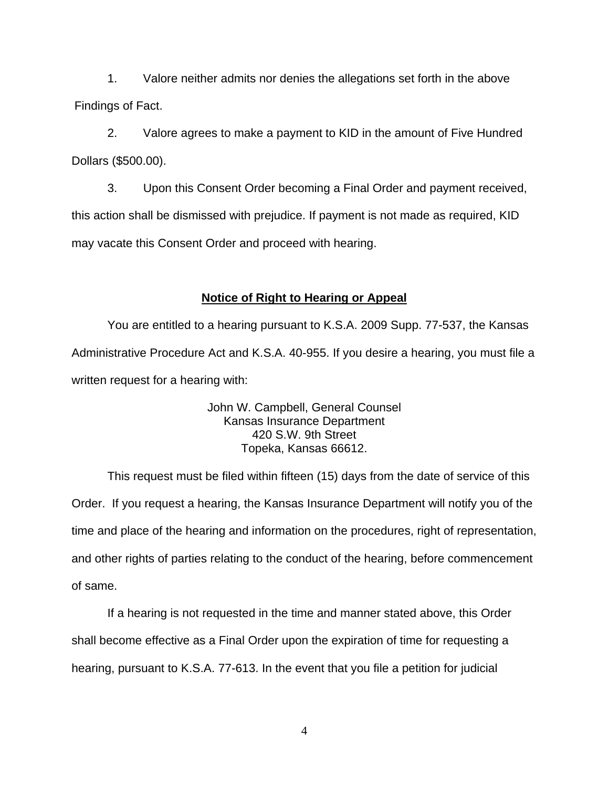1. Valore neither admits nor denies the allegations set forth in the above Findings of Fact.

2. Valore agrees to make a payment to KID in the amount of Five Hundred Dollars (\$500.00).

3. Upon this Consent Order becoming a Final Order and payment received, this action shall be dismissed with prejudice. If payment is not made as required, KID may vacate this Consent Order and proceed with hearing.

### **Notice of Right to Hearing or Appeal**

You are entitled to a hearing pursuant to K.S.A. 2009 Supp. 77-537, the Kansas Administrative Procedure Act and K.S.A. 40-955. If you desire a hearing, you must file a written request for a hearing with:

> John W. Campbell, General Counsel Kansas Insurance Department 420 S.W. 9th Street Topeka, Kansas 66612.

This request must be filed within fifteen (15) days from the date of service of this Order. If you request a hearing, the Kansas Insurance Department will notify you of the time and place of the hearing and information on the procedures, right of representation, and other rights of parties relating to the conduct of the hearing, before commencement of same.

If a hearing is not requested in the time and manner stated above, this Order shall become effective as a Final Order upon the expiration of time for requesting a hearing, pursuant to K.S.A. 77-613. In the event that you file a petition for judicial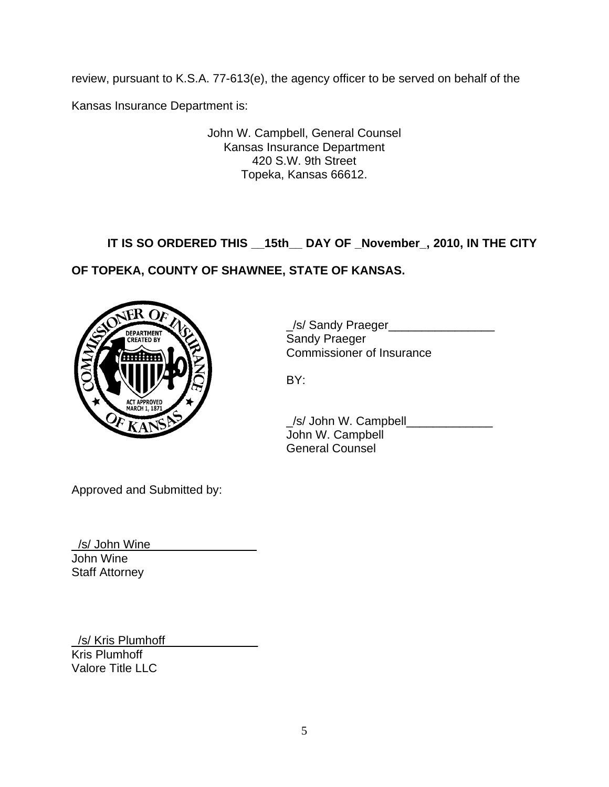review, pursuant to K.S.A. 77-613(e), the agency officer to be served on behalf of the

Kansas Insurance Department is:

John W. Campbell, General Counsel Kansas Insurance Department 420 S.W. 9th Street Topeka, Kansas 66612.

# **IT IS SO ORDERED THIS \_\_15th\_\_ DAY OF \_November\_, 2010, IN THE CITY**

## **OF TOPEKA, COUNTY OF SHAWNEE, STATE OF KANSAS.**



\_/s/ Sandy Praeger\_\_\_\_\_\_\_\_\_\_\_\_\_\_\_\_ Commissioner of Insurance

/s/ John W. Campbell John W. Campbell General Counsel

Approved and Submitted by:

/s/ John Wine John Wine Staff Attorney

/s/ Kris Plumhoff Kris Plumhoff Valore Title LLC